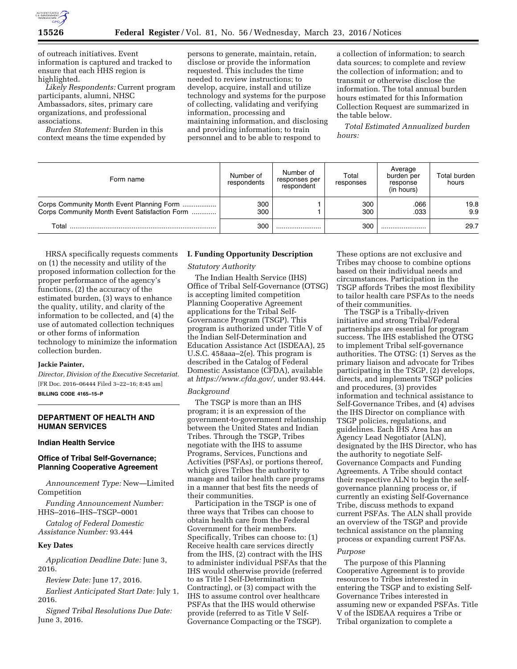

of outreach initiatives. Event information is captured and tracked to ensure that each HHS region is highlighted.

*Likely Respondents:* Current program participants, alumni, NHSC Ambassadors, sites, primary care organizations, and professional associations.

*Burden Statement:* Burden in this context means the time expended by persons to generate, maintain, retain, disclose or provide the information requested. This includes the time needed to review instructions; to develop, acquire, install and utilize technology and systems for the purpose of collecting, validating and verifying information, processing and maintaining information, and disclosing and providing information; to train personnel and to be able to respond to

a collection of information; to search data sources; to complete and review the collection of information; and to transmit or otherwise disclose the information. The total annual burden hours estimated for this Information Collection Request are summarized in the table below.

*Total Estimated Annualized burden hours:* 

| Form name                                                                                  | Number of<br>respondents | Number of<br>responses per<br>respondent | Total<br>responses | Average<br>burden per<br>response<br>(in hours) | Total burden<br>hours |
|--------------------------------------------------------------------------------------------|--------------------------|------------------------------------------|--------------------|-------------------------------------------------|-----------------------|
| Corps Community Month Event Planning Form<br>Corps Community Month Event Satisfaction Form | 300<br>300               |                                          | 300<br>300         | .066<br>.033                                    | 19.8<br>9.9           |
| Total                                                                                      | 300                      |                                          | 300                |                                                 | 29.7                  |

HRSA specifically requests comments on (1) the necessity and utility of the proposed information collection for the proper performance of the agency's functions, (2) the accuracy of the estimated burden, (3) ways to enhance the quality, utility, and clarity of the information to be collected, and (4) the use of automated collection techniques or other forms of information technology to minimize the information collection burden.

### **Jackie Painter,**

*Director, Division of the Executive Secretariat.*  [FR Doc. 2016–06444 Filed 3–22–16; 8:45 am] **BILLING CODE 4165–15–P** 

# **DEPARTMENT OF HEALTH AND HUMAN SERVICES**

# **Indian Health Service**

# **Office of Tribal Self-Governance; Planning Cooperative Agreement**

*Announcement Type:* New—Limited Competition

*Funding Announcement Number:*  HHS–2016–IHS–TSGP–0001

*Catalog of Federal Domestic Assistance Number:* 93.444

#### **Key Dates**

*Application Deadline Date:* June 3, 2016.

*Review Date:* June 17, 2016.

*Earliest Anticipated Start Date:* July 1, 2016.

*Signed Tribal Resolutions Due Date:*  June 3, 2016.

# **I. Funding Opportunity Description**

#### *Statutory Authority*

The Indian Health Service (IHS) Office of Tribal Self-Governance (OTSG) is accepting limited competition Planning Cooperative Agreement applications for the Tribal Self-Governance Program (TSGP). This program is authorized under Title V of the Indian Self-Determination and Education Assistance Act (ISDEAA), 25 U.S.C. 458aaa–2(e). This program is described in the Catalog of Federal Domestic Assistance (CFDA), available at *[https://www.cfda.gov/,](https://www.cfda.gov/)* under 93.444.

#### *Background*

The TSGP is more than an IHS program; it is an expression of the government-to-government relationship between the United States and Indian Tribes. Through the TSGP, Tribes negotiate with the IHS to assume Programs, Services, Functions and Activities (PSFAs), or portions thereof, which gives Tribes the authority to manage and tailor health care programs in a manner that best fits the needs of their communities.

Participation in the TSGP is one of three ways that Tribes can choose to obtain health care from the Federal Government for their members. Specifically, Tribes can choose to: (1) Receive health care services directly from the IHS, (2) contract with the IHS to administer individual PSFAs that the IHS would otherwise provide (referred to as Title I Self-Determination Contracting), or (3) compact with the IHS to assume control over healthcare PSFAs that the IHS would otherwise provide (referred to as Title V Self-Governance Compacting or the TSGP).

These options are not exclusive and Tribes may choose to combine options based on their individual needs and circumstances. Participation in the TSGP affords Tribes the most flexibility to tailor health care PSFAs to the needs of their communities.

The TSGP is a Tribally-driven initiative and strong Tribal/Federal partnerships are essential for program success. The IHS established the OTSG to implement Tribal self-governance authorities. The OTSG: (1) Serves as the primary liaison and advocate for Tribes participating in the TSGP, (2) develops, directs, and implements TSGP policies and procedures, (3) provides information and technical assistance to Self-Governance Tribes, and (4) advises the IHS Director on compliance with TSGP policies, regulations, and guidelines. Each IHS Area has an Agency Lead Negotiator (ALN), designated by the IHS Director, who has the authority to negotiate Self-Governance Compacts and Funding Agreements. A Tribe should contact their respective ALN to begin the selfgovernance planning process or, if currently an existing Self-Governance Tribe, discuss methods to expand current PSFAs. The ALN shall provide an overview of the TSGP and provide technical assistance on the planning process or expanding current PSFAs.

# *Purpose*

The purpose of this Planning Cooperative Agreement is to provide resources to Tribes interested in entering the TSGP and to existing Self-Governance Tribes interested in assuming new or expanded PSFAs. Title V of the ISDEAA requires a Tribe or Tribal organization to complete a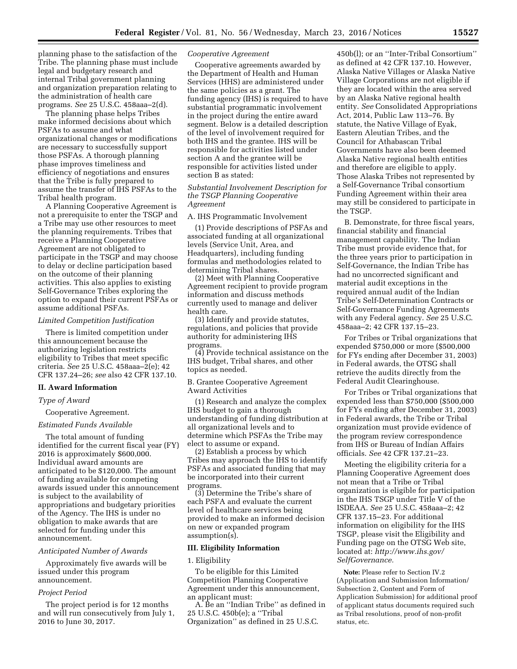planning phase to the satisfaction of the Tribe. The planning phase must include legal and budgetary research and internal Tribal government planning and organization preparation relating to the administration of health care programs. *See* 25 U.S.C. 458aaa–2(d).

The planning phase helps Tribes make informed decisions about which PSFAs to assume and what organizational changes or modifications are necessary to successfully support those PSFAs. A thorough planning phase improves timeliness and efficiency of negotiations and ensures that the Tribe is fully prepared to assume the transfer of IHS PSFAs to the Tribal health program.

A Planning Cooperative Agreement is not a prerequisite to enter the TSGP and a Tribe may use other resources to meet the planning requirements. Tribes that receive a Planning Cooperative Agreement are not obligated to participate in the TSGP and may choose to delay or decline participation based on the outcome of their planning activities. This also applies to existing Self-Governance Tribes exploring the option to expand their current PSFAs or assume additional PSFAs.

### *Limited Competition Justification*

There is limited competition under this announcement because the authorizing legislation restricts eligibility to Tribes that meet specific criteria. *See* 25 U.S.C. 458aaa–2(e); 42 CFR 137.24–26; *see* also 42 CFR 137.10.

#### **II. Award Information**

# *Type of Award*

Cooperative Agreement.

#### *Estimated Funds Available*

The total amount of funding identified for the current fiscal year (FY) 2016 is approximately \$600,000. Individual award amounts are anticipated to be \$120,000. The amount of funding available for competing awards issued under this announcement is subject to the availability of appropriations and budgetary priorities of the Agency. The IHS is under no obligation to make awards that are selected for funding under this announcement.

# *Anticipated Number of Awards*

Approximately five awards will be issued under this program announcement.

### *Project Period*

The project period is for 12 months and will run consecutively from July 1, 2016 to June 30, 2017.

## *Cooperative Agreement*

Cooperative agreements awarded by the Department of Health and Human Services (HHS) are administered under the same policies as a grant. The funding agency (IHS) is required to have substantial programmatic involvement in the project during the entire award segment. Below is a detailed description of the level of involvement required for both IHS and the grantee. IHS will be responsible for activities listed under section A and the grantee will be responsible for activities listed under section B as stated:

# *Substantial Involvement Description for the TSGP Planning Cooperative Agreement*

A. IHS Programmatic Involvement

(1) Provide descriptions of PSFAs and associated funding at all organizational levels (Service Unit, Area, and Headquarters), including funding formulas and methodologies related to determining Tribal shares.

(2) Meet with Planning Cooperative Agreement recipient to provide program information and discuss methods currently used to manage and deliver health care.

(3) Identify and provide statutes, regulations, and policies that provide authority for administering IHS programs.

(4) Provide technical assistance on the IHS budget, Tribal shares, and other topics as needed.

B. Grantee Cooperative Agreement Award Activities

(1) Research and analyze the complex IHS budget to gain a thorough understanding of funding distribution at all organizational levels and to determine which PSFAs the Tribe may elect to assume or expand.

(2) Establish a process by which Tribes may approach the IHS to identify PSFAs and associated funding that may be incorporated into their current programs.

(3) Determine the Tribe's share of each PSFA and evaluate the current level of healthcare services being provided to make an informed decision on new or expanded program assumption(s).

### **III. Eligibility Information**

# 1. Eligibility

To be eligible for this Limited Competition Planning Cooperative Agreement under this announcement, an applicant must:

A. Be an ''Indian Tribe'' as defined in 25 U.S.C. 450b(e); a ''Tribal Organization'' as defined in 25 U.S.C.

450b(l); or an ''Inter-Tribal Consortium'' as defined at 42 CFR 137.10. However, Alaska Native Villages or Alaska Native Village Corporations are not eligible if they are located within the area served by an Alaska Native regional health entity. *See* Consolidated Appropriations Act, 2014, Public Law 113–76. By statute, the Native Village of Eyak, Eastern Aleutian Tribes, and the Council for Athabascan Tribal Governments have also been deemed Alaska Native regional health entities and therefore are eligible to apply. Those Alaska Tribes not represented by a Self-Governance Tribal consortium Funding Agreement within their area may still be considered to participate in the TSGP.

B. Demonstrate, for three fiscal years, financial stability and financial management capability. The Indian Tribe must provide evidence that, for the three years prior to participation in Self-Governance, the Indian Tribe has had no uncorrected significant and material audit exceptions in the required annual audit of the Indian Tribe's Self-Determination Contracts or Self-Governance Funding Agreements with any Federal agency. *See* 25 U.S.C. 458aaa–2; 42 CFR 137.15–23.

For Tribes or Tribal organizations that expended \$750,000 or more (\$500,000 for FYs ending after December 31, 2003) in Federal awards, the OTSG shall retrieve the audits directly from the Federal Audit Clearinghouse.

For Tribes or Tribal organizations that expended less than \$750,000 (\$500,000 for FYs ending after December 31, 2003) in Federal awards, the Tribe or Tribal organization must provide evidence of the program review correspondence from IHS or Bureau of Indian Affairs officials. *See* 42 CFR 137.21–23.

Meeting the eligibility criteria for a Planning Cooperative Agreement does not mean that a Tribe or Tribal organization is eligible for participation in the IHS TSGP under Title V of the ISDEAA. *See* 25 U.S.C. 458aaa–2; 42 CFR 137.15–23. For additional information on eligibility for the IHS TSGP, please visit the Eligibility and Funding page on the OTSG Web site, located at: *[http://www.ihs.gov/](http://www.ihs.gov/SelfGovernance) [SelfGovernance.](http://www.ihs.gov/SelfGovernance)* 

**Note:** Please refer to Section IV.2 (Application and Submission Information/ Subsection 2, Content and Form of Application Submission) for additional proof of applicant status documents required such as Tribal resolutions, proof of non-profit status, etc.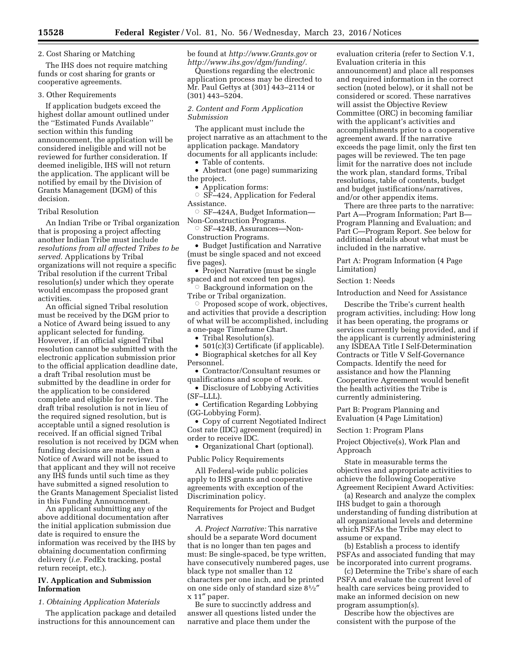# 2. Cost Sharing or Matching

The IHS does not require matching funds or cost sharing for grants or cooperative agreements.

#### 3. Other Requirements

If application budgets exceed the highest dollar amount outlined under the ''Estimated Funds Available'' section within this funding announcement, the application will be considered ineligible and will not be reviewed for further consideration. If deemed ineligible, IHS will not return the application. The applicant will be notified by email by the Division of Grants Management (DGM) of this decision.

### Tribal Resolution

An Indian Tribe or Tribal organization that is proposing a project affecting another Indian Tribe must include *resolutions from all affected Tribes to be served.* Applications by Tribal organizations will not require a specific Tribal resolution if the current Tribal resolution(s) under which they operate would encompass the proposed grant activities.

An official signed Tribal resolution must be received by the DGM prior to a Notice of Award being issued to any applicant selected for funding. However, if an official signed Tribal resolution cannot be submitted with the electronic application submission prior to the official application deadline date, a draft Tribal resolution must be submitted by the deadline in order for the application to be considered complete and eligible for review. The draft tribal resolution is not in lieu of the required signed resolution, but is acceptable until a signed resolution is received. If an official signed Tribal resolution is not received by DGM when funding decisions are made, then a Notice of Award will not be issued to that applicant and they will not receive any IHS funds until such time as they have submitted a signed resolution to the Grants Management Specialist listed in this Funding Announcement.

An applicant submitting any of the above additional documentation after the initial application submission due date is required to ensure the information was received by the IHS by obtaining documentation confirming delivery (*i.e.* FedEx tracking, postal return receipt, etc.).

# **IV. Application and Submission Information**

# *1. Obtaining Application Materials*

The application package and detailed instructions for this announcement can

be found at *<http://www.Grants.gov>*or *[http://www.ihs.gov/dgm/funding/.](http://www.ihs.gov/dgm/funding/)* 

Questions regarding the electronic application process may be directed to Mr. Paul Gettys at (301) 443–2114 or (301) 443–5204.

# *2. Content and Form Application Submission*

The applicant must include the project narrative as an attachment to the application package. Mandatory documents for all applicants include:

• Table of contents.

• Abstract (one page) summarizing the project.

• Application forms:

 $\circ$  SF–424, Application for Federal Assistance.

○ SF-424A, Budget Information— Non-Construction Programs.

Æ SF–424B, Assurances—Non-Construction Programs.

• Budget Justification and Narrative (must be single spaced and not exceed five pages).

• Project Narrative (must be single spaced and not exceed ten pages).

 $\circ$  Background information on the Tribe or Tribal organization.

 $\circ$  Proposed scope of work, objectives, and activities that provide a description of what will be accomplished, including a one-page Timeframe Chart.

• Tribal Resolution(s).

• 501(c)(3) Certificate (if applicable).

- Biographical sketches for all Key Personnel.
- Contractor/Consultant resumes or qualifications and scope of work.

• Disclosure of Lobbying Activities (SF–LLL).

• Certification Regarding Lobbying (GG-Lobbying Form).

• Copy of current Negotiated Indirect Cost rate (IDC) agreement (required) in order to receive IDC.

• Organizational Chart (optional).

Public Policy Requirements

All Federal-wide public policies apply to IHS grants and cooperative agreements with exception of the Discrimination policy.

Requirements for Project and Budget Narratives

*A. Project Narrative:* This narrative should be a separate Word document that is no longer than ten pages and must: Be single-spaced, be type written, have consecutively numbered pages, use black type not smaller than 12 characters per one inch, and be printed on one side only of standard size 81⁄2″ x 11″ paper.

Be sure to succinctly address and answer all questions listed under the narrative and place them under the

evaluation criteria (refer to Section V.1, Evaluation criteria in this announcement) and place all responses and required information in the correct section (noted below), or it shall not be considered or scored. These narratives will assist the Objective Review Committee (ORC) in becoming familiar with the applicant's activities and accomplishments prior to a cooperative agreement award. If the narrative exceeds the page limit, only the first ten pages will be reviewed. The ten page limit for the narrative does not include the work plan, standard forms, Tribal resolutions, table of contents, budget and budget justifications/narratives, and/or other appendix items.

There are three parts to the narrative: Part A—Program Information; Part B— Program Planning and Evaluation; and Part C—Program Report. See below for additional details about what must be included in the narrative.

Part A: Program Information (4 Page Limitation)

# Section 1: Needs

Introduction and Need for Assistance

Describe the Tribe's current health program activities, including: How long it has been operating, the programs or services currently being provided, and if the applicant is currently administering any ISDEAA Title I Self-Determination Contracts or Title V Self-Governance Compacts. Identify the need for assistance and how the Planning Cooperative Agreement would benefit the health activities the Tribe is currently administering.

Part B: Program Planning and Evaluation (4 Page Limitation)

Section 1: Program Plans

Project Objective(s), Work Plan and Approach

State in measurable terms the objectives and appropriate activities to achieve the following Cooperative Agreement Recipient Award Activities:

(a) Research and analyze the complex IHS budget to gain a thorough understanding of funding distribution at all organizational levels and determine which PSFAs the Tribe may elect to assume or expand.

(b) Establish a process to identify PSFAs and associated funding that may be incorporated into current programs.

(c) Determine the Tribe's share of each PSFA and evaluate the current level of health care services being provided to make an informed decision on new program assumption(s).

Describe how the objectives are consistent with the purpose of the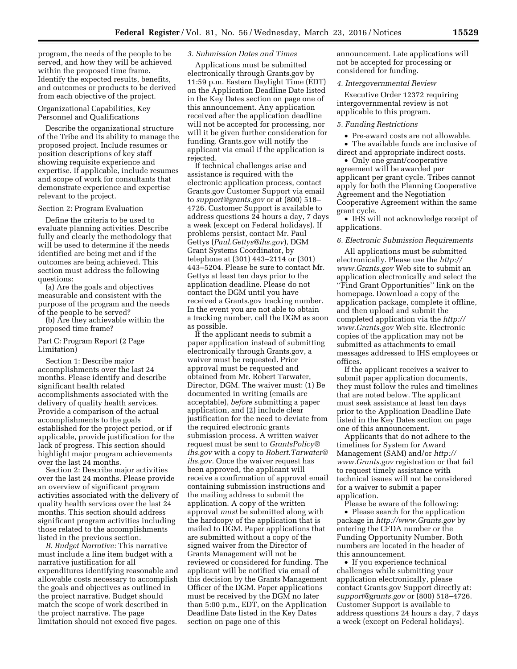program, the needs of the people to be served, and how they will be achieved within the proposed time frame. Identify the expected results, benefits, and outcomes or products to be derived from each objective of the project.

# Organizational Capabilities, Key Personnel and Qualifications

Describe the organizational structure of the Tribe and its ability to manage the proposed project. Include resumes or position descriptions of key staff showing requisite experience and expertise. If applicable, include resumes and scope of work for consultants that demonstrate experience and expertise relevant to the project.

# Section 2: Program Evaluation

Define the criteria to be used to evaluate planning activities. Describe fully and clearly the methodology that will be used to determine if the needs identified are being met and if the outcomes are being achieved. This section must address the following questions:

(a) Are the goals and objectives measurable and consistent with the purpose of the program and the needs of the people to be served?

(b) Are they achievable within the proposed time frame?

Part C: Program Report (2 Page Limitation)

Section 1: Describe major accomplishments over the last 24 months. Please identify and describe significant health related accomplishments associated with the delivery of quality health services. Provide a comparison of the actual accomplishments to the goals established for the project period, or if applicable, provide justification for the lack of progress. This section should highlight major program achievements over the last 24 months.

Section 2: Describe major activities over the last 24 months. Please provide an overview of significant program activities associated with the delivery of quality health services over the last 24 months. This section should address significant program activities including those related to the accomplishments listed in the previous section.

*B. Budget Narrative:* This narrative must include a line item budget with a narrative justification for all expenditures identifying reasonable and allowable costs necessary to accomplish the goals and objectives as outlined in the project narrative. Budget should match the scope of work described in the project narrative. The page limitation should not exceed five pages.

# *3. Submission Dates and Times*

Applications must be submitted electronically through Grants.gov by 11:59 p.m. Eastern Daylight Time (EDT) on the Application Deadline Date listed in the Key Dates section on page one of this announcement. Any application received after the application deadline will not be accepted for processing, nor will it be given further consideration for funding. Grants.gov will notify the applicant via email if the application is rejected.

If technical challenges arise and assistance is required with the electronic application process, contact Grants.gov Customer Support via email to *[support@grants.gov](mailto:support@grants.gov)* or at (800) 518– 4726. Customer Support is available to address questions 24 hours a day, 7 days a week (except on Federal holidays). If problems persist, contact Mr. Paul Gettys (*[Paul.Gettys@ihs.gov](mailto:Paul.Gettys@ihs.gov)*), DGM Grant Systems Coordinator, by telephone at (301) 443–2114 or (301) 443–5204. Please be sure to contact Mr. Gettys at least ten days prior to the application deadline. Please do not contact the DGM until you have received a Grants.gov tracking number. In the event you are not able to obtain a tracking number, call the DGM as soon as possible.

If the applicant needs to submit a paper application instead of submitting electronically through Grants.gov, a waiver must be requested. Prior approval must be requested and obtained from Mr. Robert Tarwater, Director, DGM. The waiver must: (1) Be documented in writing (emails are acceptable), *before* submitting a paper application, and (2) include clear justification for the need to deviate from the required electronic grants submission process. A written waiver request must be sent to *[GrantsPolicy@](mailto:GrantsPolicy@ihs.gov) [ihs.gov](mailto:GrantsPolicy@ihs.gov)* with a copy to *[Robert.Tarwater@](mailto:Robert.Tarwater@ihs.gov) [ihs.gov.](mailto:Robert.Tarwater@ihs.gov)* Once the waiver request has been approved, the applicant will receive a confirmation of approval email containing submission instructions and the mailing address to submit the application. A copy of the written approval *must* be submitted along with the hardcopy of the application that is mailed to DGM. Paper applications that are submitted without a copy of the signed waiver from the Director of Grants Management will not be reviewed or considered for funding. The applicant will be notified via email of this decision by the Grants Management Officer of the DGM. Paper applications must be received by the DGM no later than 5:00 p.m., EDT, on the Application Deadline Date listed in the Key Dates section on page one of this

announcement. Late applications will not be accepted for processing or considered for funding.

#### *4. Intergovernmental Review*

Executive Order 12372 requiring intergovernmental review is not applicable to this program.

# *5. Funding Restrictions*

• Pre-award costs are not allowable.

• The available funds are inclusive of direct and appropriate indirect costs.

• Only one grant/cooperative agreement will be awarded per applicant per grant cycle. Tribes cannot apply for both the Planning Cooperative Agreement and the Negotiation Cooperative Agreement within the same grant cycle.

• IHS will not acknowledge receipt of applications.

# *6. Electronic Submission Requirements*

All applications must be submitted electronically. Please use the *[http://](http://www.Grants.gov) [www.Grants.gov](http://www.Grants.gov)* Web site to submit an application electronically and select the ''Find Grant Opportunities'' link on the homepage. Download a copy of the application package, complete it offline, and then upload and submit the completed application via the *[http://](http://www.Grants.gov) [www.Grants.gov](http://www.Grants.gov)* Web site. Electronic copies of the application may not be submitted as attachments to email messages addressed to IHS employees or offices.

If the applicant receives a waiver to submit paper application documents, they must follow the rules and timelines that are noted below. The applicant must seek assistance at least ten days prior to the Application Deadline Date listed in the Key Dates section on page one of this announcement.

Applicants that do not adhere to the timelines for System for Award Management (SAM) and/or *[http://](http://www.Grants.gov) [www.Grants.gov](http://www.Grants.gov)* registration or that fail to request timely assistance with technical issues will not be considered for a waiver to submit a paper application.

Please be aware of the following: • Please search for the application package in *<http://www.Grants.gov>* by entering the CFDA number or the Funding Opportunity Number. Both numbers are located in the header of this announcement.

• If you experience technical challenges while submitting your application electronically, please contact Grants.gov Support directly at: *[support@grants.gov](mailto:support@grants.gov)* or (800) 518–4726. Customer Support is available to address questions 24 hours a day, 7 days a week (except on Federal holidays).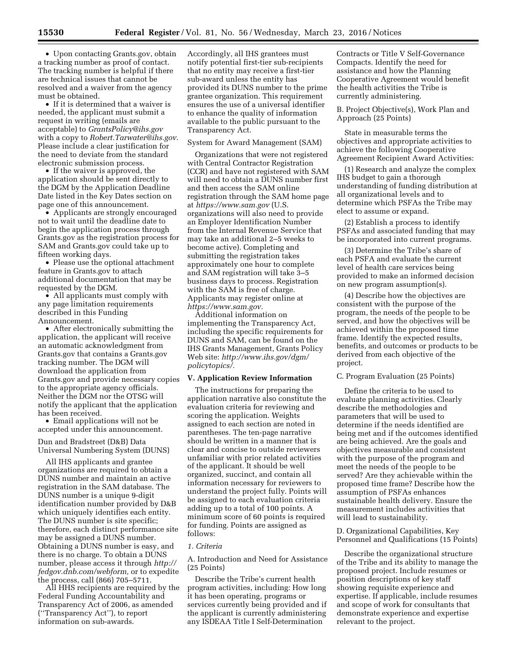• Upon contacting Grants.gov, obtain a tracking number as proof of contact. The tracking number is helpful if there are technical issues that cannot be resolved and a waiver from the agency must be obtained.

• If it is determined that a waiver is needed, the applicant must submit a request in writing (emails are acceptable) to *[GrantsPolicy@ihs.gov](mailto:GrantsPolicy@ihs.gov)*  with a copy to *[Robert.Tarwater@ihs.gov.](mailto:Robert.Tarwater@ihs.gov)*  Please include a clear justification for the need to deviate from the standard electronic submission process.

• If the waiver is approved, the application should be sent directly to the DGM by the Application Deadline Date listed in the Key Dates section on page one of this announcement.

• Applicants are strongly encouraged not to wait until the deadline date to begin the application process through Grants.gov as the registration process for SAM and Grants.gov could take up to fifteen working days.

• Please use the optional attachment feature in Grants.gov to attach additional documentation that may be requested by the DGM.

• All applicants must comply with any page limitation requirements described in this Funding Announcement.

• After electronically submitting the application, the applicant will receive an automatic acknowledgment from Grants.gov that contains a Grants.gov tracking number. The DGM will download the application from Grants.gov and provide necessary copies to the appropriate agency officials. Neither the DGM nor the OTSG will notify the applicant that the application has been received.

• Email applications will not be accepted under this announcement.

# Dun and Bradstreet (D&B) Data Universal Numbering System (DUNS)

All IHS applicants and grantee organizations are required to obtain a DUNS number and maintain an active registration in the SAM database. The DUNS number is a unique 9-digit identification number provided by D&B which uniquely identifies each entity. The DUNS number is site specific; therefore, each distinct performance site may be assigned a DUNS number. Obtaining a DUNS number is easy, and there is no charge. To obtain a DUNS number, please access it through *[http://](http://fedgov.dnb.com/webform)  [fedgov.dnb.com/webform,](http://fedgov.dnb.com/webform)* or to expedite the process, call (866) 705–5711.

All HHS recipients are required by the Federal Funding Accountability and Transparency Act of 2006, as amended (''Transparency Act''), to report information on sub-awards.

Accordingly, all IHS grantees must notify potential first-tier sub-recipients that no entity may receive a first-tier sub-award unless the entity has provided its DUNS number to the prime grantee organization. This requirement ensures the use of a universal identifier to enhance the quality of information available to the public pursuant to the Transparency Act.

## System for Award Management (SAM)

Organizations that were not registered with Central Contractor Registration (CCR) and have not registered with SAM will need to obtain a DUNS number first and then access the SAM online registration through the SAM home page at *<https://www.sam.gov>* (U.S. organizations will also need to provide an Employer Identification Number from the Internal Revenue Service that may take an additional 2–5 weeks to become active). Completing and submitting the registration takes approximately one hour to complete and SAM registration will take 3–5 business days to process. Registration with the SAM is free of charge. Applicants may register online at *[https://www.sam.gov.](https://www.sam.gov)* 

Additional information on implementing the Transparency Act, including the specific requirements for DUNS and SAM, can be found on the IHS Grants Management, Grants Policy Web site: *[http://www.ihs.gov/dgm/](http://www.ihs.gov/dgm/policytopics/) [policytopics/.](http://www.ihs.gov/dgm/policytopics/)* 

#### **V. Application Review Information**

The instructions for preparing the application narrative also constitute the evaluation criteria for reviewing and scoring the application. Weights assigned to each section are noted in parentheses. The ten-page narrative should be written in a manner that is clear and concise to outside reviewers unfamiliar with prior related activities of the applicant. It should be well organized, succinct, and contain all information necessary for reviewers to understand the project fully. Points will be assigned to each evaluation criteria adding up to a total of 100 points. A minimum score of 60 points is required for funding. Points are assigned as follows:

## *1. Criteria*

A. Introduction and Need for Assistance (25 Points)

Describe the Tribe's current health program activities, including: How long it has been operating, programs or services currently being provided and if the applicant is currently administering any ISDEAA Title I Self-Determination

Contracts or Title V Self-Governance Compacts. Identify the need for assistance and how the Planning Cooperative Agreement would benefit the health activities the Tribe is currently administering.

B. Project Objective(s), Work Plan and Approach (25 Points)

State in measurable terms the objectives and appropriate activities to achieve the following Cooperative Agreement Recipient Award Activities:

(1) Research and analyze the complex IHS budget to gain a thorough understanding of funding distribution at all organizational levels and to determine which PSFAs the Tribe may elect to assume or expand.

(2) Establish a process to identify PSFAs and associated funding that may be incorporated into current programs.

(3) Determine the Tribe's share of each PSFA and evaluate the current level of health care services being provided to make an informed decision on new program assumption(s).

(4) Describe how the objectives are consistent with the purpose of the program, the needs of the people to be served, and how the objectives will be achieved within the proposed time frame. Identify the expected results, benefits, and outcomes or products to be derived from each objective of the project.

C. Program Evaluation (25 Points)

Define the criteria to be used to evaluate planning activities. Clearly describe the methodologies and parameters that will be used to determine if the needs identified are being met and if the outcomes identified are being achieved. Are the goals and objectives measurable and consistent with the purpose of the program and meet the needs of the people to be served? Are they achievable within the proposed time frame? Describe how the assumption of PSFAs enhances sustainable health delivery. Ensure the measurement includes activities that will lead to sustainability.

D. Organizational Capabilities, Key Personnel and Qualifications (15 Points)

Describe the organizational structure of the Tribe and its ability to manage the proposed project. Include resumes or position descriptions of key staff showing requisite experience and expertise. If applicable, include resumes and scope of work for consultants that demonstrate experience and expertise relevant to the project.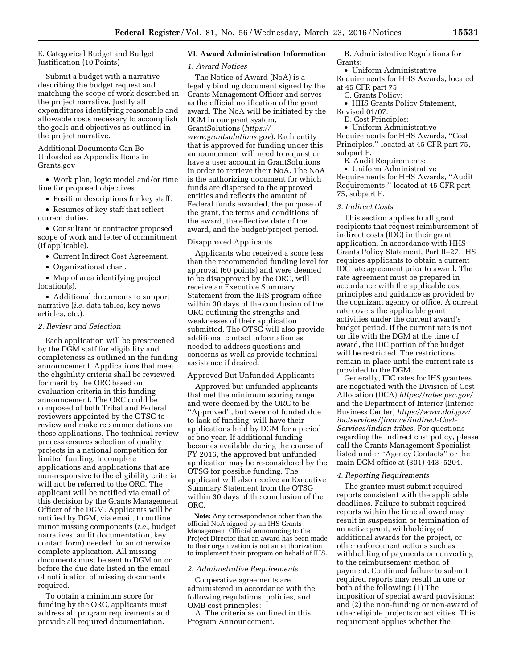E. Categorical Budget and Budget Justification (10 Points)

Submit a budget with a narrative describing the budget request and matching the scope of work described in the project narrative. Justify all expenditures identifying reasonable and allowable costs necessary to accomplish the goals and objectives as outlined in the project narrative.

Additional Documents Can Be Uploaded as Appendix Items in Grants.gov

• Work plan, logic model and/or time line for proposed objectives.

• Position descriptions for key staff.

• Resumes of key staff that reflect current duties.

• Consultant or contractor proposed scope of work and letter of commitment (if applicable).

• Current Indirect Cost Agreement.

• Organizational chart.

• Map of area identifying project location(s).

• Additional documents to support narrative (*i.e.* data tables, key news articles, etc.).

# *2. Review and Selection*

Each application will be prescreened by the DGM staff for eligibility and completeness as outlined in the funding announcement. Applications that meet the eligibility criteria shall be reviewed for merit by the ORC based on evaluation criteria in this funding announcement. The ORC could be composed of both Tribal and Federal reviewers appointed by the OTSG to review and make recommendations on these applications. The technical review process ensures selection of quality projects in a national competition for limited funding. Incomplete applications and applications that are non-responsive to the eligibility criteria will not be referred to the ORC. The applicant will be notified via email of this decision by the Grants Management Officer of the DGM. Applicants will be notified by DGM, via email, to outline minor missing components (*i.e.,* budget narratives, audit documentation, key contact form) needed for an otherwise complete application. All missing documents must be sent to DGM on or before the due date listed in the email of notification of missing documents required.

To obtain a minimum score for funding by the ORC, applicants must address all program requirements and provide all required documentation.

# **VI. Award Administration Information**

#### *1. Award Notices*

The Notice of Award (NoA) is a legally binding document signed by the Grants Management Officer and serves as the official notification of the grant award. The NoA will be initiated by the DGM in our grant system, GrantSolutions (*[https://](https://www.grantsolutions.gov) [www.grantsolutions.gov](https://www.grantsolutions.gov)*). Each entity that is approved for funding under this announcement will need to request or have a user account in GrantSolutions in order to retrieve their NoA. The NoA is the authorizing document for which funds are dispersed to the approved entities and reflects the amount of Federal funds awarded, the purpose of the grant, the terms and conditions of the award, the effective date of the award, and the budget/project period.

#### Disapproved Applicants

Applicants who received a score less than the recommended funding level for approval (60 points) and were deemed to be disapproved by the ORC, will receive an Executive Summary Statement from the IHS program office within 30 days of the conclusion of the ORC outlining the strengths and weaknesses of their application submitted. The OTSG will also provide additional contact information as needed to address questions and concerns as well as provide technical assistance if desired.

### Approved But Unfunded Applicants

Approved but unfunded applicants that met the minimum scoring range and were deemed by the ORC to be ''Approved'', but were not funded due to lack of funding, will have their applications held by DGM for a period of one year. If additional funding becomes available during the course of FY 2016, the approved but unfunded application may be re-considered by the OTSG for possible funding. The applicant will also receive an Executive Summary Statement from the OTSG within 30 days of the conclusion of the ORC.

**Note:** Any correspondence other than the official NoA signed by an IHS Grants Management Official announcing to the Project Director that an award has been made to their organization is not an authorization to implement their program on behalf of IHS.

### *2. Administrative Requirements*

Cooperative agreements are administered in accordance with the following regulations, policies, and OMB cost principles:

A. The criteria as outlined in this Program Announcement.

B. Administrative Regulations for Grants:

• Uniform Administrative

- Requirements for HHS Awards, located at 45 CFR part 75.
- C. Grants Policy:
- HHS Grants Policy Statement,

Revised 01/07.

D. Cost Principles:

• Uniform Administrative

Requirements for HHS Awards, ''Cost Principles,'' located at 45 CFR part 75, subpart E.

E. Audit Requirements:

• Uniform Administrative Requirements for HHS Awards, ''Audit Requirements,'' located at 45 CFR part 75, subpart F.

#### *3. Indirect Costs*

This section applies to all grant recipients that request reimbursement of indirect costs (IDC) in their grant application. In accordance with HHS Grants Policy Statement, Part II–27, IHS requires applicants to obtain a current IDC rate agreement prior to award. The rate agreement must be prepared in accordance with the applicable cost principles and guidance as provided by the cognizant agency or office. A current rate covers the applicable grant activities under the current award's budget period. If the current rate is not on file with the DGM at the time of award, the IDC portion of the budget will be restricted. The restrictions remain in place until the current rate is provided to the DGM.

Generally, IDC rates for IHS grantees are negotiated with the Division of Cost Allocation (DCA) *<https://rates.psc.gov/>*  and the Department of Interior (Interior Business Center) *[https://www.doi.gov/](https://www.doi.gov/ibc/services/finance/indirect-Cost-Services/indian-tribes) [ibc/services/finance/indirect-Cost-](https://www.doi.gov/ibc/services/finance/indirect-Cost-Services/indian-tribes)[Services/indian-tribes.](https://www.doi.gov/ibc/services/finance/indirect-Cost-Services/indian-tribes)* For questions regarding the indirect cost policy, please call the Grants Management Specialist listed under ''Agency Contacts'' or the main DGM office at (301) 443–5204.

#### *4. Reporting Requirements*

The grantee must submit required reports consistent with the applicable deadlines. Failure to submit required reports within the time allowed may result in suspension or termination of an active grant, withholding of additional awards for the project, or other enforcement actions such as withholding of payments or converting to the reimbursement method of payment. Continued failure to submit required reports may result in one or both of the following: (1) The imposition of special award provisions; and (2) the non-funding or non-award of other eligible projects or activities. This requirement applies whether the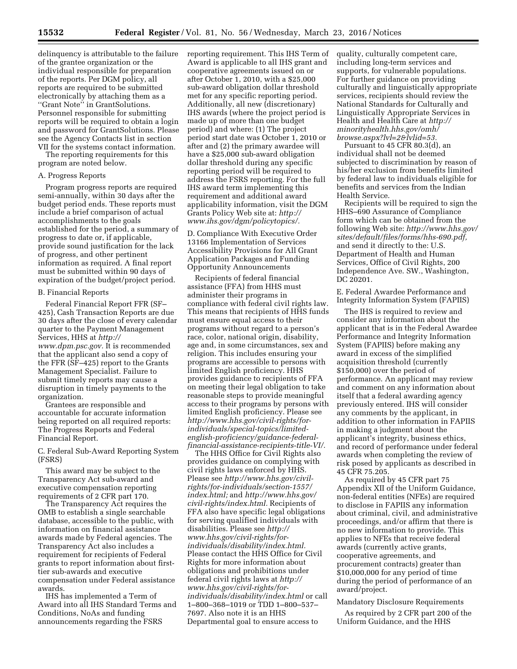delinquency is attributable to the failure of the grantee organization or the individual responsible for preparation of the reports. Per DGM policy, all reports are required to be submitted electronically by attaching them as a ''Grant Note'' in GrantSolutions. Personnel responsible for submitting reports will be required to obtain a login and password for GrantSolutions. Please see the Agency Contacts list in section VII for the systems contact information.

The reporting requirements for this program are noted below.

# A. Progress Reports

Program progress reports are required semi-annually, within 30 days after the budget period ends. These reports must include a brief comparison of actual accomplishments to the goals established for the period, a summary of progress to date or, if applicable, provide sound justification for the lack of progress, and other pertinent information as required. A final report must be submitted within 90 days of expiration of the budget/project period.

# B. Financial Reports

Federal Financial Report FFR (SF– 425), Cash Transaction Reports are due 30 days after the close of every calendar quarter to the Payment Management Services, HHS at *[http://](http://www.dpm.psc.gov) [www.dpm.psc.gov.](http://www.dpm.psc.gov)* It is recommended that the applicant also send a copy of the FFR (SF–425) report to the Grants Management Specialist. Failure to submit timely reports may cause a disruption in timely payments to the organization.

Grantees are responsible and accountable for accurate information being reported on all required reports: The Progress Reports and Federal Financial Report.

C. Federal Sub-Award Reporting System (FSRS)

This award may be subject to the Transparency Act sub-award and executive compensation reporting requirements of 2 CFR part 170.

The Transparency Act requires the OMB to establish a single searchable database, accessible to the public, with information on financial assistance awards made by Federal agencies. The Transparency Act also includes a requirement for recipients of Federal grants to report information about firsttier sub-awards and executive compensation under Federal assistance awards.

IHS has implemented a Term of Award into all IHS Standard Terms and Conditions, NoAs and funding announcements regarding the FSRS

reporting requirement. This IHS Term of Award is applicable to all IHS grant and cooperative agreements issued on or after October 1, 2010, with a \$25,000 sub-award obligation dollar threshold met for any specific reporting period. Additionally, all new (discretionary) IHS awards (where the project period is made up of more than one budget period) and where: (1) The project period start date was October 1, 2010 or after and (2) the primary awardee will have a \$25,000 sub-award obligation dollar threshold during any specific reporting period will be required to address the FSRS reporting. For the full IHS award term implementing this requirement and additional award applicability information, visit the DGM Grants Policy Web site at: *[http://](http://www.ihs.gov/dgm/policytopics/) [www.ihs.gov/dgm/policytopics/.](http://www.ihs.gov/dgm/policytopics/)* 

D. Compliance With Executive Order 13166 Implementation of Services Accessibility Provisions for All Grant Application Packages and Funding Opportunity Announcements

Recipients of federal financial assistance (FFA) from HHS must administer their programs in compliance with federal civil rights law. This means that recipients of HHS funds must ensure equal access to their programs without regard to a person's race, color, national origin, disability, age and, in some circumstances, sex and religion. This includes ensuring your programs are accessible to persons with limited English proficiency. HHS provides guidance to recipients of FFA on meeting their legal obligation to take reasonable steps to provide meaningful access to their programs by persons with limited English proficiency. Please see *[http://www.hhs.gov/civil-rights/for](http://www.hhs.gov/civil-rights/for-individuals/special-topics/limited-english-proficiency/guidance-federal-financial-assistance-recipients-title-VI/)[individuals/special-topics/limited](http://www.hhs.gov/civil-rights/for-individuals/special-topics/limited-english-proficiency/guidance-federal-financial-assistance-recipients-title-VI/)[english-proficiency/guidance-federal](http://www.hhs.gov/civil-rights/for-individuals/special-topics/limited-english-proficiency/guidance-federal-financial-assistance-recipients-title-VI/)[financial-assistance-recipients-title-VI/.](http://www.hhs.gov/civil-rights/for-individuals/special-topics/limited-english-proficiency/guidance-federal-financial-assistance-recipients-title-VI/)* 

The HHS Office for Civil Rights also provides guidance on complying with civil rights laws enforced by HHS. Please see *[http://www.hhs.gov/civil](http://www.hhs.gov/civil-rights/for-individuals/section-1557/index.html)[rights/for-individuals/section-1557/](http://www.hhs.gov/civil-rights/for-individuals/section-1557/index.html) [index.html;](http://www.hhs.gov/civil-rights/for-individuals/section-1557/index.html)* and *[http://www.hhs.gov/](http://www.hhs.gov/civil-rights/index.html) [civil-rights/index.html.](http://www.hhs.gov/civil-rights/index.html)* Recipients of FFA also have specific legal obligations for serving qualified individuals with disabilities. Please see *[http://](http://www.hhs.gov/civil-rights/for-individuals/disability/index.html) [www.hhs.gov/civil-rights/for](http://www.hhs.gov/civil-rights/for-individuals/disability/index.html)[individuals/disability/index.html.](http://www.hhs.gov/civil-rights/for-individuals/disability/index.html)*  Please contact the HHS Office for Civil Rights for more information about obligations and prohibitions under federal civil rights laws at *[http://](http://www.hhs.gov/civil-rights/for-individuals/disability/index.html) [www.hhs.gov/civil-rights/for](http://www.hhs.gov/civil-rights/for-individuals/disability/index.html)[individuals/disability/index.html](http://www.hhs.gov/civil-rights/for-individuals/disability/index.html)* or call 1–800–368–1019 or TDD 1–800–537– 7697. Also note it is an HHS Departmental goal to ensure access to

quality, culturally competent care, including long-term services and supports, for vulnerable populations. For further guidance on providing culturally and linguistically appropriate services, recipients should review the National Standards for Culturally and Linguistically Appropriate Services in Health and Health Care at *[http://](http://minorityhealth.hhs.gov/omh/browse.aspx?lvl=2&lvlid=53) [minorityhealth.hhs.gov/omh/](http://minorityhealth.hhs.gov/omh/browse.aspx?lvl=2&lvlid=53) [browse.aspx?lvl=2&lvlid=53.](http://minorityhealth.hhs.gov/omh/browse.aspx?lvl=2&lvlid=53)* 

Pursuant to 45 CFR 80.3(d), an individual shall not be deemed subjected to discrimination by reason of his/her exclusion from benefits limited by federal law to individuals eligible for benefits and services from the Indian Health Service.

Recipients will be required to sign the HHS–690 Assurance of Compliance form which can be obtained from the following Web site: *[http://www.hhs.gov/](http://www.hhs.gov/sites/default/files/forms/hhs-690.pdf) [sites/default/files/forms/hhs-690.pdf,](http://www.hhs.gov/sites/default/files/forms/hhs-690.pdf)*  and send it directly to the: U.S. Department of Health and Human Services, Office of Civil Rights, 200 Independence Ave. SW., Washington, DC 20201.

E. Federal Awardee Performance and Integrity Information System (FAPIIS)

The IHS is required to review and consider any information about the applicant that is in the Federal Awardee Performance and Integrity Information System (FAPIIS) before making any award in excess of the simplified acquisition threshold (currently \$150,000) over the period of performance. An applicant may review and comment on any information about itself that a federal awarding agency previously entered. IHS will consider any comments by the applicant, in addition to other information in FAPIIS in making a judgment about the applicant's integrity, business ethics, and record of performance under federal awards when completing the review of risk posed by applicants as described in 45 CFR 75.205.

As required by 45 CFR part 75 Appendix XII of the Uniform Guidance, non-federal entities (NFEs) are required to disclose in FAPIIS any information about criminal, civil, and administrative proceedings, and/or affirm that there is no new information to provide. This applies to NFEs that receive federal awards (currently active grants, cooperative agreements, and procurement contracts) greater than \$10,000,000 for any period of time during the period of performance of an award/project.

# Mandatory Disclosure Requirements

As required by 2 CFR part 200 of the Uniform Guidance, and the HHS